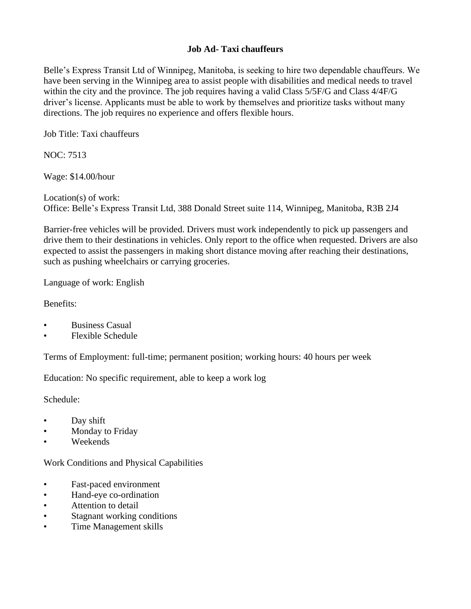## **Job Ad- Taxi chauffeurs**

Belle's Express Transit Ltd of Winnipeg, Manitoba, is seeking to hire two dependable chauffeurs. We have been serving in the Winnipeg area to assist people with disabilities and medical needs to travel within the city and the province. The job requires having a valid Class 5/5F/G and Class 4/4F/G driver's license. Applicants must be able to work by themselves and prioritize tasks without many directions. The job requires no experience and offers flexible hours.

Job Title: Taxi chauffeurs

NOC: 7513

Wage: \$14.00/hour

Location(s) of work: Office: Belle's Express Transit Ltd, 388 Donald Street suite 114, Winnipeg, Manitoba, R3B 2J4

Barrier-free vehicles will be provided. Drivers must work independently to pick up passengers and drive them to their destinations in vehicles. Only report to the office when requested. Drivers are also expected to assist the passengers in making short distance moving after reaching their destinations, such as pushing wheelchairs or carrying groceries.

Language of work: English

Benefits:

- Business Casual
- Flexible Schedule

Terms of Employment: full-time; permanent position; working hours: 40 hours per week

Education: No specific requirement, able to keep a work log

Schedule:

- Day shift
- Monday to Friday
- Weekends

Work Conditions and Physical Capabilities

- Fast-paced environment
- Hand-eye co-ordination
- Attention to detail
- Stagnant working conditions
- Time Management skills